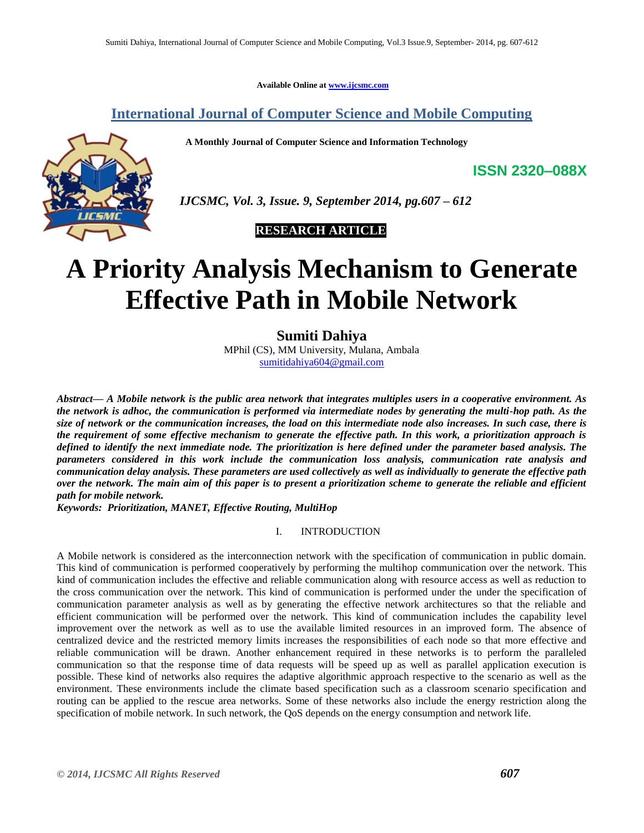**Available Online at [www.ijcsmc.com](http://www.ijcsmc.com/)**

## **International Journal of Computer Science and Mobile Computing**

 **A Monthly Journal of Computer Science and Information Technology**

**ISSN 2320–088X**



 *IJCSMC, Vol. 3, Issue. 9, September 2014, pg.607 – 612*

 **RESEARCH ARTICLE**

# **A Priority Analysis Mechanism to Generate Effective Path in Mobile Network**

**Sumiti Dahiya**

MPhil (CS), MM University, Mulana, Ambala [sumitidahiya604@gmail.com](mailto:sumitidahiya604@gmail.com)

*Abstract— A Mobile network is the public area network that integrates multiples users in a cooperative environment. As the network is adhoc, the communication is performed via intermediate nodes by generating the multi-hop path. As the size of network or the communication increases, the load on this intermediate node also increases. In such case, there is the requirement of some effective mechanism to generate the effective path. In this work, a prioritization approach is defined to identify the next immediate node. The prioritization is here defined under the parameter based analysis. The parameters considered in this work include the communication loss analysis, communication rate analysis and communication delay analysis. These parameters are used collectively as well as individually to generate the effective path over the network. The main aim of this paper is to present a prioritization scheme to generate the reliable and efficient path for mobile network.*

*Keywords: Prioritization, MANET, Effective Routing, MultiHop*

#### I. INTRODUCTION

A Mobile network is considered as the interconnection network with the specification of communication in public domain. This kind of communication is performed cooperatively by performing the multihop communication over the network. This kind of communication includes the effective and reliable communication along with resource access as well as reduction to the cross communication over the network. This kind of communication is performed under the under the specification of communication parameter analysis as well as by generating the effective network architectures so that the reliable and efficient communication will be performed over the network. This kind of communication includes the capability level improvement over the network as well as to use the available limited resources in an improved form. The absence of centralized device and the restricted memory limits increases the responsibilities of each node so that more effective and reliable communication will be drawn. Another enhancement required in these networks is to perform the paralleled communication so that the response time of data requests will be speed up as well as parallel application execution is possible. These kind of networks also requires the adaptive algorithmic approach respective to the scenario as well as the environment. These environments include the climate based specification such as a classroom scenario specification and routing can be applied to the rescue area networks. Some of these networks also include the energy restriction along the specification of mobile network. In such network, the QoS depends on the energy consumption and network life.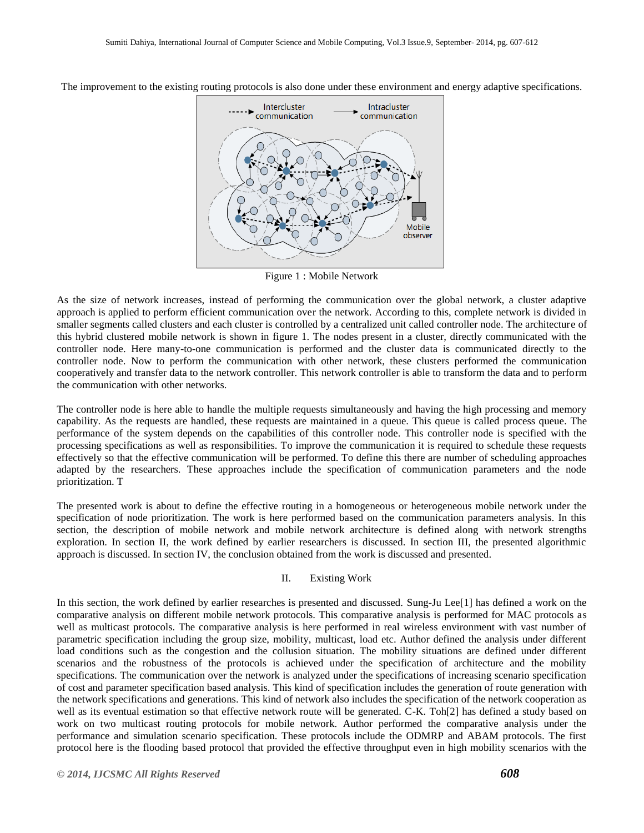

The improvement to the existing routing protocols is also done under these environment and energy adaptive specifications.

Figure 1 : Mobile Network

As the size of network increases, instead of performing the communication over the global network, a cluster adaptive approach is applied to perform efficient communication over the network. According to this, complete network is divided in smaller segments called clusters and each cluster is controlled by a centralized unit called controller node. The architecture of this hybrid clustered mobile network is shown in figure 1. The nodes present in a cluster, directly communicated with the controller node. Here many-to-one communication is performed and the cluster data is communicated directly to the controller node. Now to perform the communication with other network, these clusters performed the communication cooperatively and transfer data to the network controller. This network controller is able to transform the data and to perform the communication with other networks.

The controller node is here able to handle the multiple requests simultaneously and having the high processing and memory capability. As the requests are handled, these requests are maintained in a queue. This queue is called process queue. The performance of the system depends on the capabilities of this controller node. This controller node is specified with the processing specifications as well as responsibilities. To improve the communication it is required to schedule these requests effectively so that the effective communication will be performed. To define this there are number of scheduling approaches adapted by the researchers. These approaches include the specification of communication parameters and the node prioritization. T

The presented work is about to define the effective routing in a homogeneous or heterogeneous mobile network under the specification of node prioritization. The work is here performed based on the communication parameters analysis. In this section, the description of mobile network and mobile network architecture is defined along with network strengths exploration. In section II, the work defined by earlier researchers is discussed. In section III, the presented algorithmic approach is discussed. In section IV, the conclusion obtained from the work is discussed and presented.

### II. Existing Work

In this section, the work defined by earlier researches is presented and discussed. Sung-Ju Lee $[1]$  has defined a work on the comparative analysis on different mobile network protocols. This comparative analysis is performed for MAC protocols as well as multicast protocols. The comparative analysis is here performed in real wireless environment with vast number of parametric specification including the group size, mobility, multicast, load etc. Author defined the analysis under different load conditions such as the congestion and the collusion situation. The mobility situations are defined under different scenarios and the robustness of the protocols is achieved under the specification of architecture and the mobility specifications. The communication over the network is analyzed under the specifications of increasing scenario specification of cost and parameter specification based analysis. This kind of specification includes the generation of route generation with the network specifications and generations. This kind of network also includes the specification of the network cooperation as well as its eventual estimation so that effective network route will be generated. C-K. Toh[2] has defined a study based on work on two multicast routing protocols for mobile network. Author performed the comparative analysis under the performance and simulation scenario specification. These protocols include the ODMRP and ABAM protocols. The first protocol here is the flooding based protocol that provided the effective throughput even in high mobility scenarios with the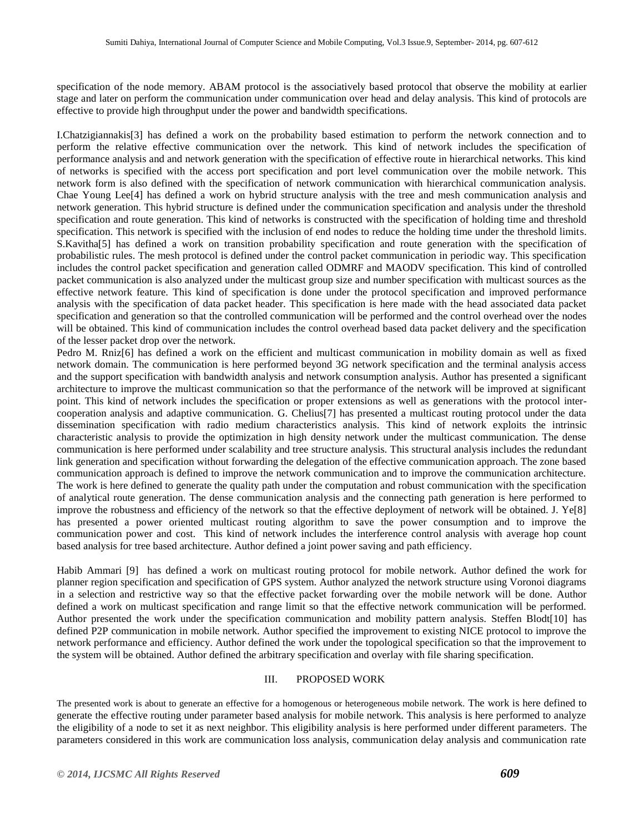specification of the node memory. ABAM protocol is the associatively based protocol that observe the mobility at earlier stage and later on perform the communication under communication over head and delay analysis. This kind of protocols are effective to provide high throughput under the power and bandwidth specifications.

I.Chatzigiannakis[3] has defined a work on the probability based estimation to perform the network connection and to perform the relative effective communication over the network. This kind of network includes the specification of performance analysis and and network generation with the specification of effective route in hierarchical networks. This kind of networks is specified with the access port specification and port level communication over the mobile network. This network form is also defined with the specification of network communication with hierarchical communication analysis. Chae Young Lee[4] has defined a work on hybrid structure analysis with the tree and mesh communication analysis and network generation. This hybrid structure is defined under the communication specification and analysis under the threshold specification and route generation. This kind of networks is constructed with the specification of holding time and threshold specification. This network is specified with the inclusion of end nodes to reduce the holding time under the threshold limits. S.Kavitha[5] has defined a work on transition probability specification and route generation with the specification of probabilistic rules. The mesh protocol is defined under the control packet communication in periodic way. This specification includes the control packet specification and generation called ODMRF and MAODV specification. This kind of controlled packet communication is also analyzed under the multicast group size and number specification with multicast sources as the effective network feature. This kind of specification is done under the protocol specification and improved performance analysis with the specification of data packet header. This specification is here made with the head associated data packet specification and generation so that the controlled communication will be performed and the control overhead over the nodes will be obtained. This kind of communication includes the control overhead based data packet delivery and the specification of the lesser packet drop over the network.

Pedro M. Rniz[6] has defined a work on the efficient and multicast communication in mobility domain as well as fixed network domain. The communication is here performed beyond 3G network specification and the terminal analysis access and the support specification with bandwidth analysis and network consumption analysis. Author has presented a significant architecture to improve the multicast communication so that the performance of the network will be improved at significant point. This kind of network includes the specification or proper extensions as well as generations with the protocol intercooperation analysis and adaptive communication. G. Chelius[7] has presented a multicast routing protocol under the data dissemination specification with radio medium characteristics analysis. This kind of network exploits the intrinsic characteristic analysis to provide the optimization in high density network under the multicast communication. The dense communication is here performed under scalability and tree structure analysis. This structural analysis includes the redundant link generation and specification without forwarding the delegation of the effective communication approach. The zone based communication approach is defined to improve the network communication and to improve the communication architecture. The work is here defined to generate the quality path under the computation and robust communication with the specification of analytical route generation. The dense communication analysis and the connecting path generation is here performed to improve the robustness and efficiency of the network so that the effective deployment of network will be obtained. J.  $Ye[8]$ has presented a power oriented multicast routing algorithm to save the power consumption and to improve the communication power and cost. This kind of network includes the interference control analysis with average hop count based analysis for tree based architecture. Author defined a joint power saving and path efficiency.

Habib Ammari [9] has defined a work on multicast routing protocol for mobile network. Author defined the work for planner region specification and specification of GPS system. Author analyzed the network structure using Voronoi diagrams in a selection and restrictive way so that the effective packet forwarding over the mobile network will be done. Author defined a work on multicast specification and range limit so that the effective network communication will be performed. Author presented the work under the specification communication and mobility pattern analysis. Steffen Blodt[10] has defined P2P communication in mobile network. Author specified the improvement to existing NICE protocol to improve the network performance and efficiency. Author defined the work under the topological specification so that the improvement to the system will be obtained. Author defined the arbitrary specification and overlay with file sharing specification.

#### III. PROPOSED WORK

The presented work is about to generate an effective for a homogenous or heterogeneous mobile network. The work is here defined to generate the effective routing under parameter based analysis for mobile network. This analysis is here performed to analyze the eligibility of a node to set it as next neighbor. This eligibility analysis is here performed under different parameters. The parameters considered in this work are communication loss analysis, communication delay analysis and communication rate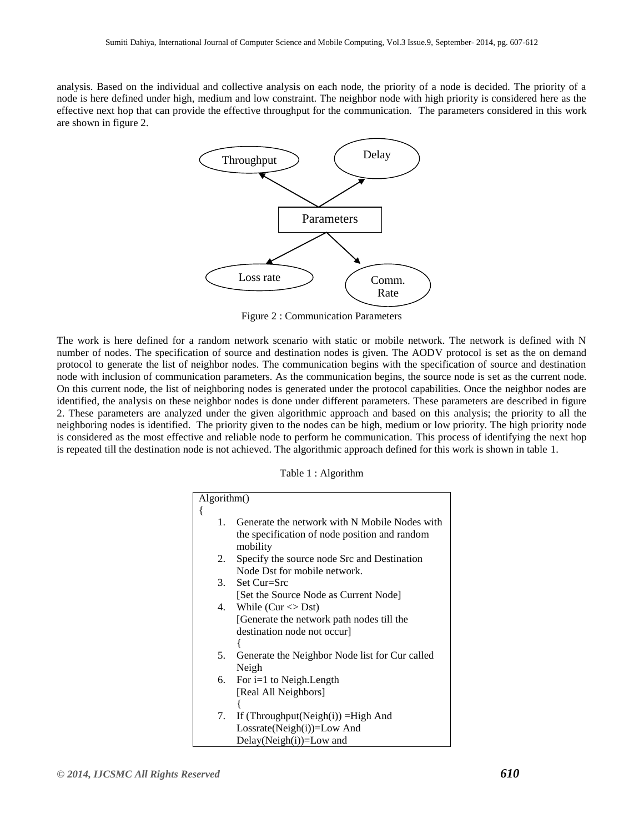analysis. Based on the individual and collective analysis on each node, the priority of a node is decided. The priority of a node is here defined under high, medium and low constraint. The neighbor node with high priority is considered here as the effective next hop that can provide the effective throughput for the communication. The parameters considered in this work are shown in figure 2.



Figure 2 : Communication Parameters

The work is here defined for a random network scenario with static or mobile network. The network is defined with N number of nodes. The specification of source and destination nodes is given. The AODV protocol is set as the on demand protocol to generate the list of neighbor nodes. The communication begins with the specification of source and destination node with inclusion of communication parameters. As the communication begins, the source node is set as the current node. On this current node, the list of neighboring nodes is generated under the protocol capabilities. Once the neighbor nodes are identified, the analysis on these neighbor nodes is done under different parameters. These parameters are described in figure 2. These parameters are analyzed under the given algorithmic approach and based on this analysis; the priority to all the neighboring nodes is identified. The priority given to the nodes can be high, medium or low priority. The high priority node is considered as the most effective and reliable node to perform he communication. This process of identifying the next hop is repeated till the destination node is not achieved. The algorithmic approach defined for this work is shown in table 1.

|  |  | Table 1 : Algorithm |
|--|--|---------------------|
|--|--|---------------------|

| Algorithm() |                                                                                                            |  |
|-------------|------------------------------------------------------------------------------------------------------------|--|
| ł           |                                                                                                            |  |
| 1.          | Generate the network with N Mobile Nodes with<br>the specification of node position and random<br>mobility |  |
| 2.          | Specify the source node Src and Destination                                                                |  |
|             | Node Dst for mobile network.                                                                               |  |
| 3.          | Set Cur=Src                                                                                                |  |
|             | [Set the Source Node as Current Node]                                                                      |  |
| 4.          | While (Cur $\langle$ Dst)                                                                                  |  |
|             | [Generate the network path nodes till the                                                                  |  |
|             | destination node not occur                                                                                 |  |
|             |                                                                                                            |  |
| 5.          | Generate the Neighbor Node list for Cur called                                                             |  |
|             | Neigh                                                                                                      |  |
| 6.          | For $i=1$ to Neigh. Length                                                                                 |  |
|             | [Real All Neighbors]                                                                                       |  |
|             |                                                                                                            |  |
| 7.          | If (Throughput(Neigh(i)) = High And                                                                        |  |
|             | Lossrate(Neigh(i))=Low And                                                                                 |  |
|             | $Delay(Neight(i)) = Low$ and                                                                               |  |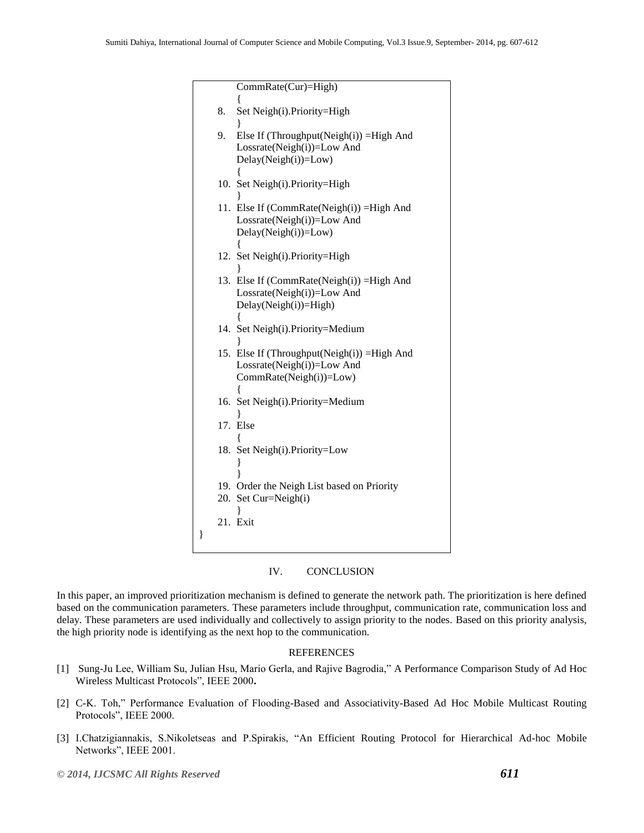|   |    | CommRate(Cur)=High)                          |
|---|----|----------------------------------------------|
|   |    |                                              |
|   | 8. | Set Neigh(i).Priority=High                   |
|   |    |                                              |
|   | 9. | Else If (Throughput(Neigh(i)) = High And     |
|   |    | Lossrate(Neigh(i))=Low And                   |
|   |    | Delay(Neigh(i))=Low)                         |
|   |    |                                              |
|   |    | 10. Set Neigh(i).Priority=High               |
|   |    |                                              |
|   |    | 11. Else If (CommRate(Neigh(i)) = High And   |
|   |    | Lossrate(Neigh(i))=Low And                   |
|   |    | Delay(Neigh(i))=Low)                         |
|   |    |                                              |
|   |    | 12. Set Neigh(i).Priority=High               |
|   |    |                                              |
|   |    | 13. Else If (CommRate(Neigh(i)) = High And   |
|   |    | Lossrate(Neigh(i))=Low And                   |
|   |    | Delay(Neigh(i))=High)                        |
|   |    |                                              |
|   |    | 14. Set Neigh(i).Priority=Medium             |
|   |    |                                              |
|   |    | 15. Else If (Throughput(Neigh(i)) = High And |
|   |    | Lossrate(Neigh(i))=Low And                   |
|   |    | CommRate(Neigh(i))=Low)                      |
|   |    |                                              |
|   |    | 16. Set Neigh(i). Priority=Medium            |
|   |    |                                              |
|   |    | 17. Else                                     |
|   |    |                                              |
|   |    | 18. Set Neigh(i). Priority=Low               |
|   |    |                                              |
|   |    |                                              |
|   |    | 19. Order the Neigh List based on Priority   |
|   |    | 20. Set Cur=Neigh(i)                         |
|   |    | 21. Exit                                     |
|   |    |                                              |
| ∤ |    |                                              |
|   |    |                                              |

#### IV. CONCLUSION

In this paper, an improved prioritization mechanism is defined to generate the network path. The prioritization is here defined based on the communication parameters. These parameters include throughput, communication rate, communication loss and delay. These parameters are used individually and collectively to assign priority to the nodes. Based on this priority analysis, the high priority node is identifying as the next hop to the communication.

#### REFERENCES

- [1] Sung-Ju Lee, William Su, Julian Hsu, Mario Gerla, and Rajive Bagrodia," A Performance Comparison Study of Ad Hoc Wireless Multicast Protocols", IEEE 2000**.**
- [2] C-K. Toh," Performance Evaluation of Flooding-Based and Associativity-Based Ad Hoc Mobile Multicast Routing Protocols", IEEE 2000.
- [3] I.Chatzigiannakis, S.Nikoletseas and P.Spirakis, "An Efficient Routing Protocol for Hierarchical Ad-hoc Mobile Networks", IEEE 2001.